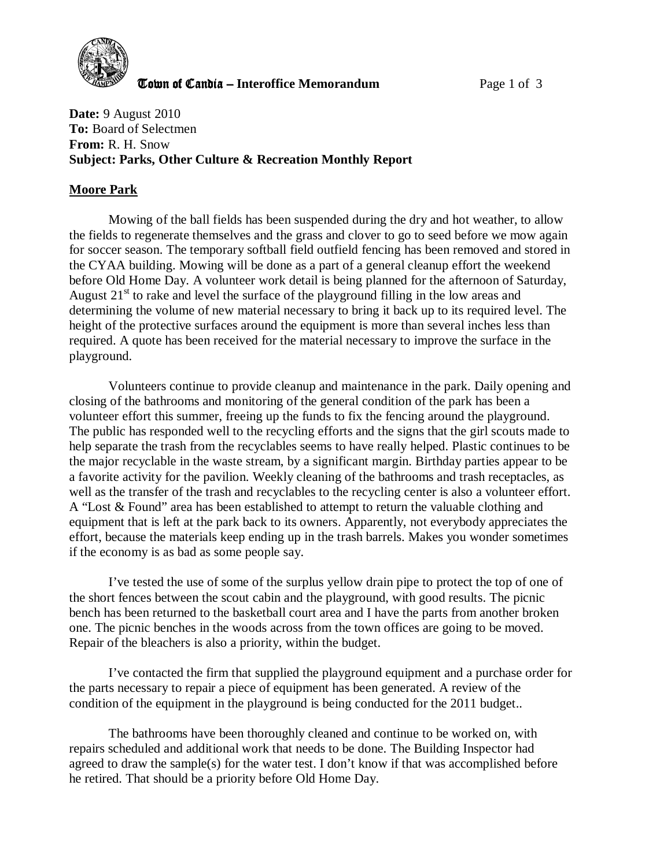

**The United Candia – Interoffice Memorandum** *Page 1 of 3* 

**Date:** 9 August 2010 **To:** Board of Selectmen **From:** R. H. Snow **Subject: Parks, Other Culture & Recreation Monthly Report** 

# **Moore Park**

Mowing of the ball fields has been suspended during the dry and hot weather, to allow the fields to regenerate themselves and the grass and clover to go to seed before we mow again for soccer season. The temporary softball field outfield fencing has been removed and stored in the CYAA building. Mowing will be done as a part of a general cleanup effort the weekend before Old Home Day. A volunteer work detail is being planned for the afternoon of Saturday, August  $21<sup>st</sup>$  to rake and level the surface of the playground filling in the low areas and determining the volume of new material necessary to bring it back up to its required level. The height of the protective surfaces around the equipment is more than several inches less than required. A quote has been received for the material necessary to improve the surface in the playground.

Volunteers continue to provide cleanup and maintenance in the park. Daily opening and closing of the bathrooms and monitoring of the general condition of the park has been a volunteer effort this summer, freeing up the funds to fix the fencing around the playground. The public has responded well to the recycling efforts and the signs that the girl scouts made to help separate the trash from the recyclables seems to have really helped. Plastic continues to be the major recyclable in the waste stream, by a significant margin. Birthday parties appear to be a favorite activity for the pavilion. Weekly cleaning of the bathrooms and trash receptacles, as well as the transfer of the trash and recyclables to the recycling center is also a volunteer effort. A "Lost & Found" area has been established to attempt to return the valuable clothing and equipment that is left at the park back to its owners. Apparently, not everybody appreciates the effort, because the materials keep ending up in the trash barrels. Makes you wonder sometimes if the economy is as bad as some people say.

I've tested the use of some of the surplus yellow drain pipe to protect the top of one of the short fences between the scout cabin and the playground, with good results. The picnic bench has been returned to the basketball court area and I have the parts from another broken one. The picnic benches in the woods across from the town offices are going to be moved. Repair of the bleachers is also a priority, within the budget.

I've contacted the firm that supplied the playground equipment and a purchase order for the parts necessary to repair a piece of equipment has been generated. A review of the condition of the equipment in the playground is being conducted for the 2011 budget..

The bathrooms have been thoroughly cleaned and continue to be worked on, with repairs scheduled and additional work that needs to be done. The Building Inspector had agreed to draw the sample(s) for the water test. I don't know if that was accomplished before he retired. That should be a priority before Old Home Day.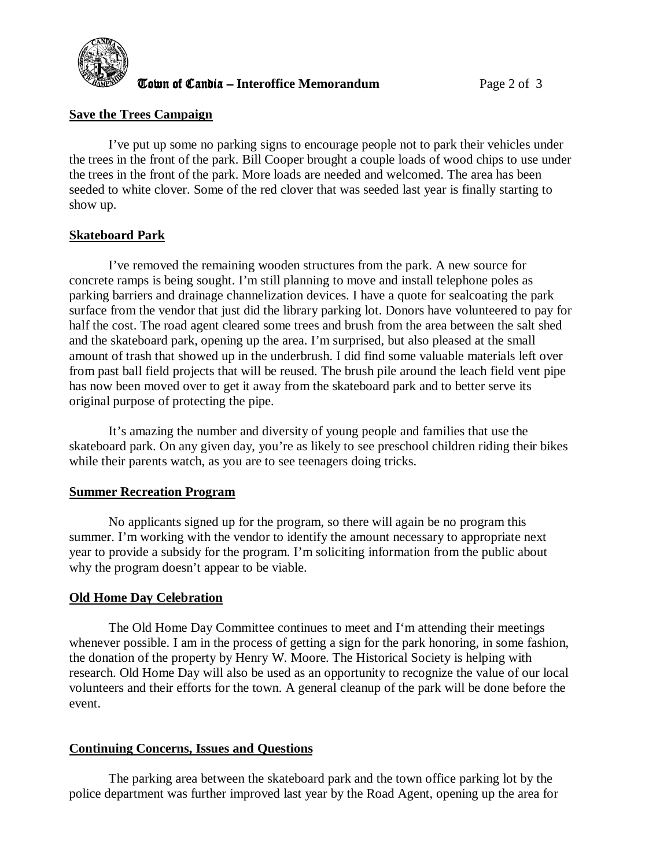

**The UR CANDISH CANDISH CONTROVER CONTROLLER TO VALUE 2018** Page 2 of 3

#### **Save the Trees Campaign**

I've put up some no parking signs to encourage people not to park their vehicles under the trees in the front of the park. Bill Cooper brought a couple loads of wood chips to use under the trees in the front of the park. More loads are needed and welcomed. The area has been seeded to white clover. Some of the red clover that was seeded last year is finally starting to show up.

### **Skateboard Park**

 I've removed the remaining wooden structures from the park. A new source for concrete ramps is being sought. I'm still planning to move and install telephone poles as parking barriers and drainage channelization devices. I have a quote for sealcoating the park surface from the vendor that just did the library parking lot. Donors have volunteered to pay for half the cost. The road agent cleared some trees and brush from the area between the salt shed and the skateboard park, opening up the area. I'm surprised, but also pleased at the small amount of trash that showed up in the underbrush. I did find some valuable materials left over from past ball field projects that will be reused. The brush pile around the leach field vent pipe has now been moved over to get it away from the skateboard park and to better serve its original purpose of protecting the pipe.

It's amazing the number and diversity of young people and families that use the skateboard park. On any given day, you're as likely to see preschool children riding their bikes while their parents watch, as you are to see teenagers doing tricks.

#### **Summer Recreation Program**

No applicants signed up for the program, so there will again be no program this summer. I'm working with the vendor to identify the amount necessary to appropriate next year to provide a subsidy for the program. I'm soliciting information from the public about why the program doesn't appear to be viable.

#### **Old Home Day Celebration**

The Old Home Day Committee continues to meet and I'm attending their meetings whenever possible. I am in the process of getting a sign for the park honoring, in some fashion, the donation of the property by Henry W. Moore. The Historical Society is helping with research. Old Home Day will also be used as an opportunity to recognize the value of our local volunteers and their efforts for the town. A general cleanup of the park will be done before the event.

## **Continuing Concerns, Issues and Questions**

The parking area between the skateboard park and the town office parking lot by the police department was further improved last year by the Road Agent, opening up the area for